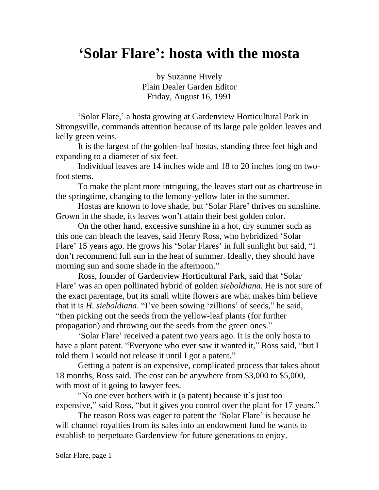## **'Solar Flare': hosta with the mosta**

by Suzanne Hively Plain Dealer Garden Editor Friday, August 16, 1991

'Solar Flare,' a hosta growing at Gardenview Horticultural Park in Strongsville, commands attention because of its large pale golden leaves and kelly green veins.

It is the largest of the golden-leaf hostas, standing three feet high and expanding to a diameter of six feet.

Individual leaves are 14 inches wide and 18 to 20 inches long on twofoot stems.

To make the plant more intriguing, the leaves start out as chartreuse in the springtime, changing to the lemony-yellow later in the summer.

Hostas are known to love shade, but 'Solar Flare' thrives on sunshine. Grown in the shade, its leaves won't attain their best golden color.

On the other hand, excessive sunshine in a hot, dry summer such as this one can bleach the leaves, said Henry Ross, who hybridized 'Solar Flare' 15 years ago. He grows his 'Solar Flares' in full sunlight but said, "I don't recommend full sun in the heat of summer. Ideally, they should have morning sun and some shade in the afternoon."

Ross, founder of Gardenview Horticultural Park, said that 'Solar Flare' was an open pollinated hybrid of golden *sieboldiana*. He is not sure of the exact parentage, but its small white flowers are what makes him believe that it is *H. sieboldiana*. "I've been sowing 'zillions' of seeds," he said, "then picking out the seeds from the yellow-leaf plants (for further propagation) and throwing out the seeds from the green ones."

'Solar Flare' received a patent two years ago. It is the only hosta to have a plant patent. "Everyone who ever saw it wanted it," Ross said, "but I told them I would not release it until I got a patent."

Getting a patent is an expensive, complicated process that takes about 18 months, Ross said. The cost can be anywhere from \$3,000 to \$5,000, with most of it going to lawyer fees.

"No one ever bothers with it (a patent) because it's just too expensive," said Ross, "but it gives you control over the plant for 17 years."

The reason Ross was eager to patent the 'Solar Flare' is because he will channel royalties from its sales into an endowment fund he wants to establish to perpetuate Gardenview for future generations to enjoy.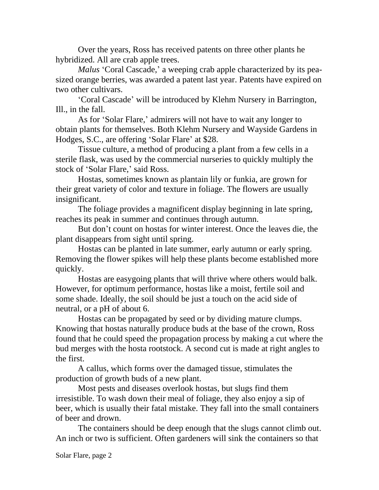Over the years, Ross has received patents on three other plants he hybridized. All are crab apple trees.

*Malus* 'Coral Cascade,' a weeping crab apple characterized by its peasized orange berries, was awarded a patent last year. Patents have expired on two other cultivars.

'Coral Cascade' will be introduced by Klehm Nursery in Barrington, Ill., in the fall.

As for 'Solar Flare,' admirers will not have to wait any longer to obtain plants for themselves. Both Klehm Nursery and Wayside Gardens in Hodges, S.C., are offering 'Solar Flare' at \$28.

Tissue culture, a method of producing a plant from a few cells in a sterile flask, was used by the commercial nurseries to quickly multiply the stock of 'Solar Flare,' said Ross.

Hostas, sometimes known as plantain lily or funkia, are grown for their great variety of color and texture in foliage. The flowers are usually insignificant.

The foliage provides a magnificent display beginning in late spring, reaches its peak in summer and continues through autumn.

But don't count on hostas for winter interest. Once the leaves die, the plant disappears from sight until spring.

Hostas can be planted in late summer, early autumn or early spring. Removing the flower spikes will help these plants become established more quickly.

Hostas are easygoing plants that will thrive where others would balk. However, for optimum performance, hostas like a moist, fertile soil and some shade. Ideally, the soil should be just a touch on the acid side of neutral, or a pH of about 6.

Hostas can be propagated by seed or by dividing mature clumps. Knowing that hostas naturally produce buds at the base of the crown, Ross found that he could speed the propagation process by making a cut where the bud merges with the hosta rootstock. A second cut is made at right angles to the first.

A callus, which forms over the damaged tissue, stimulates the production of growth buds of a new plant.

Most pests and diseases overlook hostas, but slugs find them irresistible. To wash down their meal of foliage, they also enjoy a sip of beer, which is usually their fatal mistake. They fall into the small containers of beer and drown.

The containers should be deep enough that the slugs cannot climb out. An inch or two is sufficient. Often gardeners will sink the containers so that